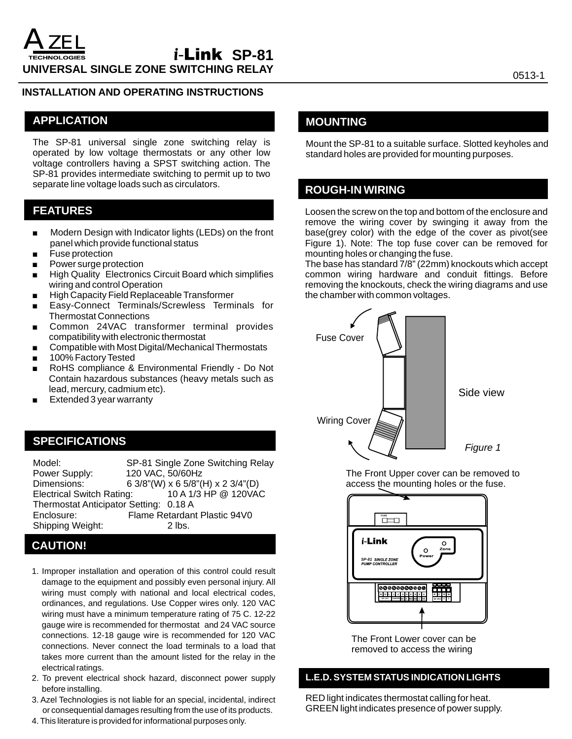### **INSTALLATION AND OPERATING INSTRUCTIONS**

## **APPLICATION**

The SP-81 universal single zone switching relay is operated by low voltage thermostats or any other low voltage controllers having a SPST switching action. The SP-81 provides intermediate switching to permit up to two separate line voltage loads such as circulators.

# **FEATURES**

- **Modern Design with Indicator lights (LEDs) on the front** panel which provide functional status
- **EXECUTE:** Fuse protection
- **Power surge protection**
- **EXECT:** High Quality Electronics Circuit Board which simplifies wiring and control Operation
- . High Capacity Field Replaceable Transformer
- . Easy-Connect Terminals/Screwless Terminals for Thermostat Connections
- **EXECOMMON 24VAC transformer terminal provides** compatibility with electronic thermostat
- Compatible with Most Digital/Mechanical Thermostats
- 100% Factory Tested
- . RoHS compliance & Environmental Friendly Do Not Contain hazardous substances (heavy metals such as lead, mercury, cadmium etc).
- . Extended 3 year warranty

## **SPECIFICATIONS**

| Model:<br>Power Supply:                | SP-81 Single Zone Switching Relay<br>120 VAC, 50/60Hz |
|----------------------------------------|-------------------------------------------------------|
| Dimensions:                            | 6 3/8"(W) x 6 5/8"(H) x 2 3/4"(D)                     |
| <b>Electrical Switch Rating:</b>       | 10 A 1/3 HP @ 120VAC                                  |
| Thermostat Anticipator Setting: 0.18 A |                                                       |
| Enclosure:                             | Flame Retardant Plastic 94V0                          |
| Shipping Weight:                       | $2$ lbs.                                              |

# **CAUTION!**

- 1. Improper installation and operation of this control could result damage to the equipment and possibly even personal injury. All wiring must comply with national and local electrical codes, ordinances, and regulations. Use Copper wires only. 120 VAC wiring must have a minimum temperature rating of 75 C. 12-22 gauge wire is recommended for thermostat and 24 VAC source connections. 12-18 gauge wire is recommended for 120 VAC connections. Never connect the load terminals to a load that takes more current than the amount listed for the relay in the electrical ratings.
- 2. To prevent electrical shock hazard, disconnect power supply before installing.
- 3. Azel Technologies is not liable for an special, incidental, indirect or consequential damages resulting from the use of its products.
- 4. This literature is provided for informational purposes only.

## **MOUNTING**

Mount the SP-81 to a suitable surface. Slotted keyholes and standard holes are provided for mounting purposes.

## **ROUGH-IN WIRING**

Loosen the screw on the top and bottom of the enclosure and remove the wiring cover by swinging it away from the base(grey color) with the edge of the cover as pivot(see Figure 1). Note: The top fuse cover can be removed for mounting holes or changing the fuse.

The base has standard 7/8" (22mm) knockouts which accept common wiring hardware and conduit fittings. Before removing the knockouts, check the wiring diagrams and use the chamber with common voltages.



access the mounting holes or the fuse. The Front Upper cover can be removed to



removed to access the wiring The Front Lower cover can be

## **L.E.D. SYSTEM STATUS INDICATION LIGHTS**

RED light indicates thermostat calling for heat. GREEN light indicates presence of power supply.